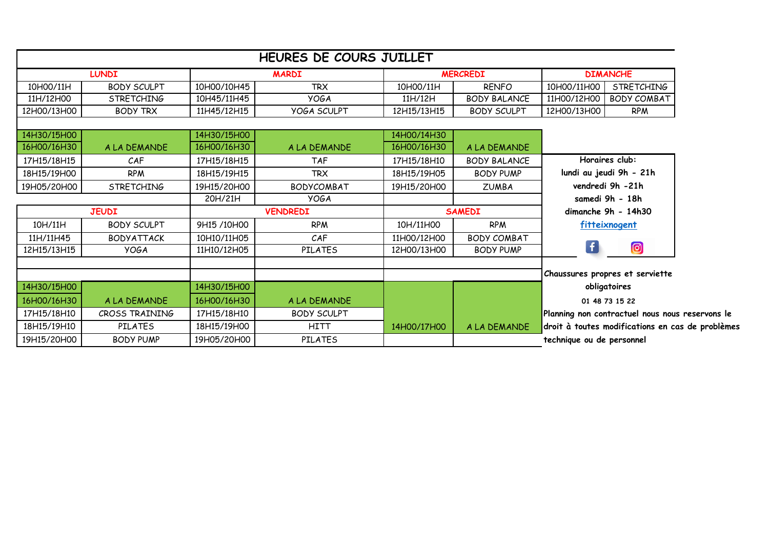|              |                    |                 | HEURES DE COURS JUILLET |                 |                           |                                                  |                                                 |  |
|--------------|--------------------|-----------------|-------------------------|-----------------|---------------------------|--------------------------------------------------|-------------------------------------------------|--|
| <b>LUNDI</b> |                    | <b>MARDI</b>    |                         | <b>MERCREDI</b> |                           | <b>DIMANCHE</b>                                  |                                                 |  |
| 10H00/11H    | <b>BODY SCULPT</b> | 10H00/10H45     | <b>TRX</b>              | 10H00/11H       | <b>RENFO</b>              | 10H00/11H00                                      | <b>STRETCHING</b>                               |  |
| 11H/12H00    | <b>STRETCHING</b>  | 10H45/11H45     | <b>YOGA</b>             | 11H/12H         | <b>BODY BALANCE</b>       | 11H00/12H00                                      | <b>BODY COMBAT</b>                              |  |
| 12H00/13H00  | <b>BODY TRX</b>    | 11H45/12H15     | <b>YOGA SCULPT</b>      | 12H15/13H15     | <b>BODY SCULPT</b>        | 12H00/13H00                                      | <b>RPM</b>                                      |  |
|              |                    |                 |                         |                 |                           |                                                  |                                                 |  |
| 14H30/15H00  |                    | 14H30/15H00     |                         | 14H00/14H30     |                           |                                                  |                                                 |  |
| 16H00/16H30  | A LA DEMANDE       | 16H00/16H30     | A LA DEMANDE            | 16H00/16H30     | A LA DEMANDE              |                                                  |                                                 |  |
| 17H15/18H15  | CAF                | 17H15/18H15     | <b>TAF</b>              | 17H15/18H10     | <b>BODY BALANCE</b>       | Horaires club:                                   |                                                 |  |
| 18H15/19H00  | <b>RPM</b>         | 18H15/19H15     | <b>TRX</b>              | 18H15/19H05     | <b>BODY PUMP</b>          |                                                  | lundi au jeudi 9h - 21h                         |  |
| 19H05/20H00  | <b>STRETCHING</b>  | 19H15/20H00     | <b>BODYCOMBAT</b>       | 19H15/20H00     | <b>ZUMBA</b>              |                                                  | vendredi 9h -21h                                |  |
|              |                    | 20H/21H         | <b>YOGA</b>             |                 |                           |                                                  | samedi 9h - 18h                                 |  |
| <b>JEUDI</b> |                    | <b>VENDREDI</b> |                         | <b>SAMEDI</b>   |                           |                                                  | dimanche 9h - 14h30                             |  |
| 10H/11H      | <b>BODY SCULPT</b> | 9H15 /10H00     | <b>RPM</b>              | 10H/11H00       | <b>RPM</b>                |                                                  | fitteixnogent                                   |  |
| 11H/11H45    | <b>BODYATTACK</b>  | 10H10/11H05     | CAF                     | 11H00/12H00     | <b>BODY COMBAT</b>        |                                                  |                                                 |  |
| 12H15/13H15  | <b>YOGA</b>        | 11H10/12H05     | <b>PILATES</b>          | 12H00/13H00     | <b>BODY PUMP</b>          | $\left  \mathbf{f} \right $                      | $\bullet$                                       |  |
|              |                    |                 |                         |                 |                           |                                                  |                                                 |  |
|              |                    |                 |                         |                 |                           |                                                  | Chaussures propres et serviette                 |  |
| 14H30/15H00  |                    | 14H30/15H00     |                         |                 |                           |                                                  | obligatoires                                    |  |
| 16H00/16H30  | A LA DEMANDE       | 16H00/16H30     | A LA DEMANDE            |                 |                           |                                                  | 01 48 73 15 22                                  |  |
| 17H15/18H10  | CROSS TRAINING     | 17H15/18H10     | <b>BODY SCULPT</b>      |                 |                           |                                                  | Planning non contractuel nous nous reservons le |  |
| 18H15/19H10  | <b>PILATES</b>     | 18H15/19H00     | <b>HITT</b>             | 14H00/17H00     | A LA DEMANDE              | droit à toutes modifications en cas de problèmes |                                                 |  |
| 19H15/20H00  | <b>BODY PUMP</b>   | 19H05/20H00     | <b>PILATES</b>          |                 | technique ou de personnel |                                                  |                                                 |  |